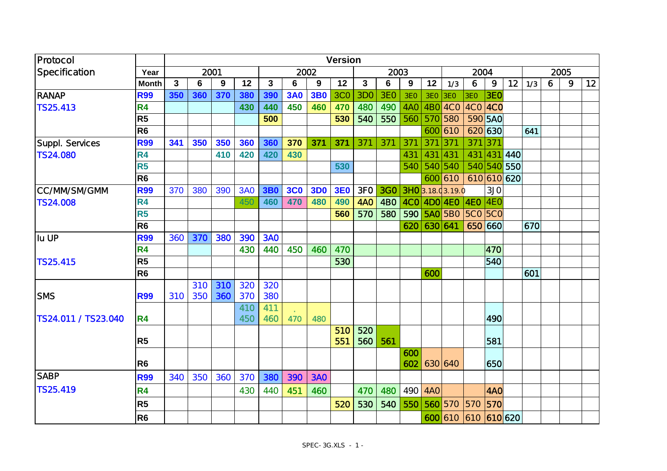| Protocol            |                | <b>Version</b> |     |     |            |              |            |            |            |                 |                 |                 |                 |                   |                 |                 |             |     |   |   |    |
|---------------------|----------------|----------------|-----|-----|------------|--------------|------------|------------|------------|-----------------|-----------------|-----------------|-----------------|-------------------|-----------------|-----------------|-------------|-----|---|---|----|
| Specification       | Year           | 2001           |     |     |            |              | 2002       |            |            | 2003            |                 |                 |                 | 2004              |                 |                 | 2005        |     |   |   |    |
|                     | <b>Month</b>   | 3              | 6   | 9   | 12         | $\mathbf{3}$ | 6          | 9          | 12         | 3               | 6               | 9               | 12              | 1/3               | 6               | 9               | 12          | 1/3 | 6 | 9 | 12 |
| <b>RANAP</b>        | <b>R99</b>     | 350            | 360 | 370 | 380        | 390          | <b>3A0</b> | <b>3B0</b> | <b>3C0</b> | 3D <sub>O</sub> | 3E <sub>O</sub> | 3E <sub>O</sub> | 3E <sub>O</sub> | 3E <sub>O</sub>   | 3E <sub>O</sub> | 3EO             |             |     |   |   |    |
| TS25.413            | R <sub>4</sub> |                |     |     | 430        | 440          | 450        | 460        | 470        | 480             | 490             | 4AO             |                 | 4BO 4CO           | $4CO$ $4CO$     |                 |             |     |   |   |    |
|                     | R <sub>5</sub> |                |     |     |            | 500          |            |            | 530        | 540             | 550             | 560             | 570 580         |                   |                 | 590 5AO         |             |     |   |   |    |
|                     | R <sub>6</sub> |                |     |     |            |              |            |            |            |                 |                 |                 |                 | 600 610           |                 | 620 630         |             | 641 |   |   |    |
| Suppl. Services     | <b>R99</b>     | 341            | 350 | 350 | 360        | 360          | 370        | 371        | 371        | 371             | 371             | 371             | 371             | 371               | 371             | 371             |             |     |   |   |    |
| <b>TS24.080</b>     | <b>R4</b>      |                |     | 410 | 420        | 420          | 430        |            |            |                 |                 | 431             | 431             | 431               | 431             | 431             | 440         |     |   |   |    |
|                     | R <sub>5</sub> |                |     |     |            |              |            |            | 530        |                 |                 | 540             | 540 540         |                   |                 |                 | 540 540 550 |     |   |   |    |
|                     | R <sub>6</sub> |                |     |     |            |              |            |            |            |                 |                 |                 |                 | 600 610           |                 |                 | 610 610 620 |     |   |   |    |
| <b>CC/MM/SM/GMM</b> | <b>R99</b>     | 370            | 380 | 390 | <b>3A0</b> | <b>3B0</b>   | <b>3C0</b> | <b>3D0</b> | <b>3E0</b> | 3FO             | <b>3GO</b>      |                 |                 | 3HO 3.18.0 3.19.0 |                 | 3J <sub>O</sub> |             |     |   |   |    |
| <b>TS24.008</b>     | <b>R4</b>      |                |     |     | 450        | 460          | 470        | 480        | 490        | <b>4AO</b>      | 4BO             |                 |                 | $4CO$ $4DO$ $4EO$ | $ $ 4EO $ $ 4EO |                 |             |     |   |   |    |
|                     | R <sub>5</sub> |                |     |     |            |              |            |            | 560        | 570             | 580             | 590             |                 | <b>5AO</b> 5BO    | <b>5CO 5CO</b>  |                 |             |     |   |   |    |
|                     | R <sub>6</sub> |                |     |     |            |              |            |            |            |                 |                 | 620             | 630 641         |                   |                 | 650 660         |             | 670 |   |   |    |
| Iu UP               | <b>R99</b>     | 360            | 370 | 380 | 390        | <b>3AO</b>   |            |            |            |                 |                 |                 |                 |                   |                 |                 |             |     |   |   |    |
|                     | <b>R4</b>      |                |     |     | 430        | 440          | 450        | 460        | 470        |                 |                 |                 |                 |                   |                 | 470             |             |     |   |   |    |
| TS25.415            | R <sub>5</sub> |                |     |     |            |              |            |            | 530        |                 |                 |                 |                 |                   |                 | 540             |             |     |   |   |    |
|                     | R <sub>6</sub> |                |     |     |            |              |            |            |            |                 |                 |                 | 600             |                   |                 |                 |             | 601 |   |   |    |
|                     |                |                | 310 | 310 | 320        | 320          |            |            |            |                 |                 |                 |                 |                   |                 |                 |             |     |   |   |    |
| <b>SMS</b>          | <b>R99</b>     | 310            | 350 | 360 | 370        | 380          |            |            |            |                 |                 |                 |                 |                   |                 |                 |             |     |   |   |    |
|                     |                |                |     |     | 410        | 411          |            |            |            |                 |                 |                 |                 |                   |                 |                 |             |     |   |   |    |
| TS24.011 / TS23.040 | <b>R4</b>      |                |     |     | 450        | 460          | 470        | 480        |            |                 |                 |                 |                 |                   |                 | 490             |             |     |   |   |    |
|                     | R <sub>5</sub> |                |     |     |            |              |            |            | 510        | 520             |                 |                 |                 |                   |                 | 581             |             |     |   |   |    |
|                     |                |                |     |     |            |              |            |            | 551        | 560             | 561             | 600             |                 |                   |                 |                 |             |     |   |   |    |
|                     | R <sub>6</sub> |                |     |     |            |              |            |            |            |                 |                 | 602             |                 | 630 640           |                 | 650             |             |     |   |   |    |
| <b>SABP</b>         | <b>R99</b>     | 340            | 350 | 360 | 370        | 380          | 390        | <b>3AO</b> |            |                 |                 |                 |                 |                   |                 |                 |             |     |   |   |    |
| TS25.419            | <b>R4</b>      |                |     |     | 430        | 440          | 451        | 460        |            | 470             | 480             | 490             | 4AO             |                   |                 | 4AO             |             |     |   |   |    |
|                     | R <sub>5</sub> |                |     |     |            |              |            |            | 520        | 530             | 540             | 550             |                 | 560 570           | 570             | 570             |             |     |   |   |    |
|                     | R <sub>6</sub> |                |     |     |            |              |            |            |            |                 |                 |                 |                 | 600 610           | 610 610 620     |                 |             |     |   |   |    |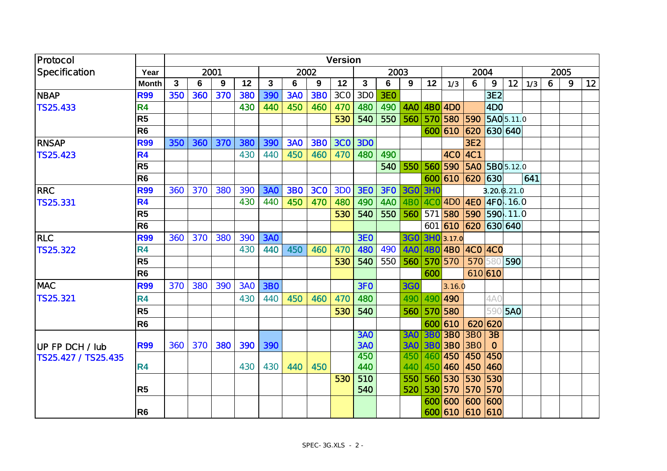| Protocol            |                |     |     |      |            |                |            |            | <b>Version</b>  |                 |            |            |            |                      |                 |                       |            |      |   |   |    |
|---------------------|----------------|-----|-----|------|------------|----------------|------------|------------|-----------------|-----------------|------------|------------|------------|----------------------|-----------------|-----------------------|------------|------|---|---|----|
| Specification       | Year           |     |     | 2001 |            |                |            | 2002       |                 |                 | 2003       |            |            |                      | 2004            |                       |            | 2005 |   |   |    |
|                     | <b>Month</b>   | 3   | 6   | 9    | 12         | $\overline{3}$ | 6          | 9          | 12              | $\mathbf{3}$    | 6          | 9          | 12         | 1/3                  | 6               | 9                     | 12         | 1/3  | 6 | 9 | 12 |
| <b>NBAP</b>         | <b>R99</b>     | 350 | 360 | 370  | 380        | 390            | <b>3AO</b> | <b>3BO</b> | 3C <sub>O</sub> | 3DO             | 3EO        |            |            |                      |                 | 3E <sub>2</sub>       |            |      |   |   |    |
| TS25.433            | <b>R4</b>      |     |     |      | 430        | 440            | 450        | 460        | 470             | 480             | 490        | 4AO        |            | 4BO 4DO              |                 | 4D <sub>O</sub>       |            |      |   |   |    |
|                     | R <sub>5</sub> |     |     |      |            |                |            |            | 530             | 540             | 550        | 560        |            | 570 580              | 590             |                       | 5AO 5.11.0 |      |   |   |    |
|                     | R <sub>6</sub> |     |     |      |            |                |            |            |                 |                 |            |            |            | 600 610              | 620             |                       | 630 640    |      |   |   |    |
| <b>RNSAP</b>        | <b>R99</b>     | 350 | 360 | 370  | 380        | 390            | <b>3AO</b> | <b>3BO</b> | <b>3CO</b>      | <b>3DO</b>      |            |            |            |                      | 3E <sub>2</sub> |                       |            |      |   |   |    |
| TS 25.423           | <b>R4</b>      |     |     |      | 430        | 440            | 450        | 460        | 470             | 480             | 490        |            |            | 4CO                  | AC1             |                       |            |      |   |   |    |
|                     | R <sub>5</sub> |     |     |      |            |                |            |            |                 |                 | 540        | 550        |            | 560 590              |                 | <b>5AO 5BO</b> 5.12.0 |            |      |   |   |    |
|                     | R <sub>6</sub> |     |     |      |            |                |            |            |                 |                 |            |            |            | 600 610              | 620             | 630                   |            | 641  |   |   |    |
| <b>RRC</b>          | <b>R99</b>     | 360 | 370 | 380  | 390        | <b>3AO</b>     | <b>3BO</b> | <b>3CO</b> | 3D <sub>O</sub> | 3EO             | 3FO        | 3GO        | <b>3HO</b> |                      |                 | 3.20 (3.21.0)         |            |      |   |   |    |
| <b>TS25.331</b>     | <b>R4</b>      |     |     |      | 430        | 440            | 450        | 470        | 480             | 490             | <b>4AO</b> | 4BO        |            | 4CO 4DO 4EO 4FO 16.0 |                 |                       |            |      |   |   |    |
|                     | R <sub>5</sub> |     |     |      |            |                |            |            | 530             | 540             | 550        | 560        |            | 571 580              |                 | <b>590 590</b> 11.0   |            |      |   |   |    |
|                     | R <sub>6</sub> |     |     |      |            |                |            |            |                 |                 |            |            |            | 601 610              | 620             | 630 640               |            |      |   |   |    |
| <b>RLC</b>          | <b>R99</b>     | 360 | 370 | 380  | 390        | <b>3AO</b>     |            |            |                 | <b>3EO</b>      |            |            |            | 3GO 3HO 3.17.0       |                 |                       |            |      |   |   |    |
| TS 25.322           | <b>R4</b>      |     |     |      | 430        | 440            | 450        | 460        | 470             | 480             | 490        | <b>4AO</b> |            | 4BO 4BO              |                 | 4CO 4CO               |            |      |   |   |    |
|                     | R <sub>5</sub> |     |     |      |            |                |            |            | 530             | 540             | 550        | 560        |            | 570 570              | 570             |                       | 580 590    |      |   |   |    |
|                     | R <sub>6</sub> |     |     |      |            |                |            |            |                 |                 |            |            | 600        |                      |                 | 610 610               |            |      |   |   |    |
| <b>MAC</b>          | <b>R99</b>     | 370 | 380 | 390  | <b>3AO</b> | <b>3BO</b>     |            |            |                 | 3F <sub>O</sub> |            | <b>3GO</b> |            | 3.16.0               |                 |                       |            |      |   |   |    |
| TS25.321            | <b>R4</b>      |     |     |      | 430        | 440            | 450        | 460        | 470             | 480             |            | 490        |            | 490 490              |                 | <b>4A0</b>            |            |      |   |   |    |
|                     | R <sub>5</sub> |     |     |      |            |                |            |            | 530             | 540             |            | 560        |            | 570 580              |                 | 59C                   | <b>5AO</b> |      |   |   |    |
|                     | R <sub>6</sub> |     |     |      |            |                |            |            |                 |                 |            |            |            | 600 610              |                 | 620 620               |            |      |   |   |    |
|                     |                |     |     |      |            |                |            |            |                 | <b>3AO</b>      |            | <b>3AO</b> |            | <b>3BO 3BO</b>       | 3B <sub>0</sub> | $\overline{3B}$       |            |      |   |   |    |
| UP FP DCH / lub     | <b>R99</b>     | 360 | 370 | 380  | 390        | 390            |            |            |                 | <b>3AO</b>      |            | <b>3AO</b> |            | <b>3BO 3BO 3BO</b>   |                 | $\overline{O}$        |            |      |   |   |    |
| TS25.427 / TS25.435 |                |     |     |      |            |                |            |            |                 | 450             |            | 450        |            | 460 450              | 450             | 450                   |            |      |   |   |    |
|                     | R <sub>4</sub> |     |     |      | 430        | 430            | 440        | <b>450</b> |                 | 440             |            | 440        |            | 450 460              | 450             | 460                   |            |      |   |   |    |
|                     |                |     |     |      |            |                |            |            | 530             | 510             |            | 550        |            | 560 530              | 530             | 530                   |            |      |   |   |    |
|                     | R <sub>5</sub> |     |     |      |            |                |            |            |                 | 540             |            | 520        |            | 530 570              | 570 570         |                       |            |      |   |   |    |
|                     |                |     |     |      |            |                |            |            |                 |                 |            |            |            | 600 600              | 600             | 600                   |            |      |   |   |    |
|                     | R <sub>6</sub> |     |     |      |            |                |            |            |                 |                 |            |            |            | 600 610 610 610      |                 |                       |            |      |   |   |    |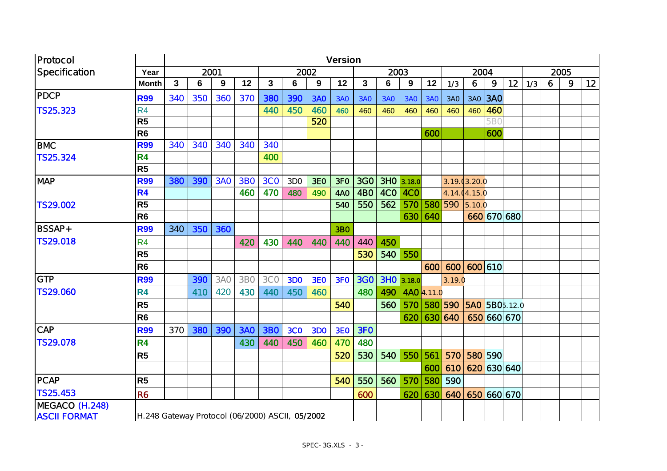| Protocol            |                                                 | <b>Version</b> |     |      |                 |                |                 |            |            |            |            |                  |             |              |                                  |         |             |      |   |   |    |
|---------------------|-------------------------------------------------|----------------|-----|------|-----------------|----------------|-----------------|------------|------------|------------|------------|------------------|-------------|--------------|----------------------------------|---------|-------------|------|---|---|----|
| Specification       | Year                                            |                |     | 2001 |                 |                |                 | 2002       |            |            | 2003       |                  |             |              | 2004                             |         |             | 2005 |   |   |    |
|                     | <b>Month</b>                                    | $\mathbf{3}$   | 6   | 9    | 12              | $\mathbf{3}$   | 6               | 9          | 12         | 3          | 6          | $\boldsymbol{9}$ | 12          | 1/3          | 6                                | 9       | 12          | 1/3  | 6 | 9 | 12 |
| PDCP                | <b>R99</b>                                      | 340            | 350 | 360  | 370             | 380            | 390             | <b>3AO</b> | 3AO        | <b>3AO</b> | <b>3AO</b> | <b>3AO</b>       | <b>3AO</b>  | 3AO          |                                  | 3AO 3AO |             |      |   |   |    |
| TS 25.323           | R <sub>4</sub>                                  |                |     |      |                 | 440            | 450             | 460        | 460        | 460        | 460        | 460              | 460         | 460          | 460                              | 460     |             |      |   |   |    |
|                     | R <sub>5</sub>                                  |                |     |      |                 |                |                 | 520        |            |            |            |                  |             |              |                                  | 5BC     |             |      |   |   |    |
|                     | R <sub>6</sub>                                  |                |     |      |                 |                |                 |            |            |            |            |                  | 600         |              |                                  | 600     |             |      |   |   |    |
| <b>BMC</b>          | <b>R99</b>                                      | 340            | 340 | 340  | 340             | 340            |                 |            |            |            |            |                  |             |              |                                  |         |             |      |   |   |    |
| <b>TS25.324</b>     | <b>R4</b>                                       |                |     |      |                 | 400            |                 |            |            |            |            |                  |             |              |                                  |         |             |      |   |   |    |
|                     | R <sub>5</sub>                                  |                |     |      |                 |                |                 |            |            |            |            |                  |             |              |                                  |         |             |      |   |   |    |
| <b>MAP</b>          | <b>R99</b>                                      | 380            | 390 | 3AO  | <b>3BO</b>      | 3 <sub>C</sub> | 3D <sub>O</sub> | <b>3EO</b> | 3FO        | 3GO        |            | $3HO$ 3.18.0     |             | 3.19.03.20.0 |                                  |         |             |      |   |   |    |
|                     | <b>R4</b>                                       |                |     |      | 460             | 470            | 480             | 490        | <b>4AO</b> | 4BO        | 4CO        | 4CO              |             |              | 4.14.04.15.0                     |         |             |      |   |   |    |
| TS29.002            | R <sub>5</sub>                                  |                |     |      |                 |                |                 |            | 540        | 550        | 562        | 570              |             | 580 590      | 5.10.0                           |         |             |      |   |   |    |
|                     | R <sub>6</sub>                                  |                |     |      |                 |                |                 |            |            |            |            | 630              | 640         |              |                                  |         | 660 670 680 |      |   |   |    |
| <b>BSSAP+</b>       | <b>R99</b>                                      | 340            | 350 | 360  |                 |                |                 |            | <b>3BO</b> |            |            |                  |             |              |                                  |         |             |      |   |   |    |
| <b>TS29.018</b>     | R <sub>4</sub>                                  |                |     |      | 420             | 430            | 440             | 440        | 440        | 440        | 450        |                  |             |              |                                  |         |             |      |   |   |    |
|                     | R <sub>5</sub>                                  |                |     |      |                 |                |                 |            |            | 530        | 540        | 550              |             |              |                                  |         |             |      |   |   |    |
|                     | R <sub>6</sub>                                  |                |     |      |                 |                |                 |            |            |            |            |                  | 600         | 600          | 600 610                          |         |             |      |   |   |    |
| GTP                 | <b>R99</b>                                      |                | 390 | 3AO  | 3B <sub>O</sub> | <b>3CO</b>     | <b>3DO</b>      | 3EO        | 3FO        | <b>3GO</b> |            | 3HO 3.18.0       |             | 3.19.0       |                                  |         |             |      |   |   |    |
| <b>TS29.060</b>     | <b>R4</b>                                       |                | 410 | 420  | 430             | 440            | 450             | 460        |            | 480        | 490        |                  | 4AO 4.11.0  |              |                                  |         |             |      |   |   |    |
|                     | R <sub>5</sub>                                  |                |     |      |                 |                |                 |            | 540        |            | 560        |                  | 570 580 590 |              | <b>5AO</b> 5BO <sub>2</sub> 12.0 |         |             |      |   |   |    |
|                     | R <sub>6</sub>                                  |                |     |      |                 |                |                 |            |            |            |            | 620              | 630 640     |              |                                  |         | 650 660 670 |      |   |   |    |
| <b>CAP</b>          | <b>R99</b>                                      | 370            | 380 | 390  | <b>3AO</b>      | <b>3BO</b>     | <b>3CO</b>      | <b>3DO</b> | <b>3EO</b> | 3FO        |            |                  |             |              |                                  |         |             |      |   |   |    |
| <b>TS29.078</b>     | <b>R4</b>                                       |                |     |      | 430             | 440            | 450             | 460        | 470        | 480        |            |                  |             |              |                                  |         |             |      |   |   |    |
|                     | R <sub>5</sub>                                  |                |     |      |                 |                |                 |            | 520        | 530        | 540        | 550              | 561         | 570          |                                  | 580 590 |             |      |   |   |    |
|                     |                                                 |                |     |      |                 |                |                 |            |            |            |            |                  | 600         | 610          |                                  |         | 620 630 640 |      |   |   |    |
| <b>PCAP</b>         | R <sub>5</sub>                                  |                |     |      |                 |                |                 |            | 540        | 550        | 560        | 570              | 580         | 590          |                                  |         |             |      |   |   |    |
| TS 25.453           | R <sub>6</sub>                                  |                |     |      |                 |                |                 |            |            | 600        |            | 620              | 630         | 640          |                                  |         | 650 660 670 |      |   |   |    |
| MEGACO (H.248)      |                                                 |                |     |      |                 |                |                 |            |            |            |            |                  |             |              |                                  |         |             |      |   |   |    |
| <b>ASCII FORMAT</b> | H.248 Gateway Protocol (06/2000) ASCII, 05/2002 |                |     |      |                 |                |                 |            |            |            |            |                  |             |              |                                  |         |             |      |   |   |    |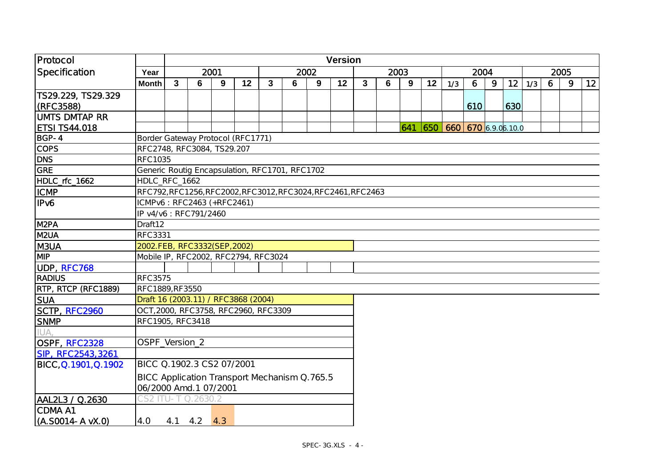| Protocol                        |                                                | <b>Version</b> |                                                              |      |    |              |   |      |    |   |   |      |    |                             |     |      |     |     |   |      |    |
|---------------------------------|------------------------------------------------|----------------|--------------------------------------------------------------|------|----|--------------|---|------|----|---|---|------|----|-----------------------------|-----|------|-----|-----|---|------|----|
| Specification                   | Year                                           |                |                                                              | 2001 |    |              |   | 2002 |    |   |   | 2003 |    |                             |     | 2004 |     |     |   | 2005 |    |
|                                 | <b>Month</b>                                   | $\mathbf{3}$   | 6                                                            | 9    | 12 | $\mathbf{3}$ | 6 | 9    | 12 | 3 | 6 | 9    | 12 | 1/3                         | 6   | 9    | 12  | 1/3 | 6 | 9    | 12 |
| TS29.229, TS29.329<br>(RFC3588) |                                                |                |                                                              |      |    |              |   |      |    |   |   |      |    |                             | 610 |      | 630 |     |   |      |    |
| IUMTS DMTAP RR                  |                                                |                |                                                              |      |    |              |   |      |    |   |   |      |    |                             |     |      |     |     |   |      |    |
| <b>ETSI TS44.018</b>            |                                                |                |                                                              |      |    |              |   |      |    |   |   |      |    | 641 650 660 670 6.9.06.10.0 |     |      |     |     |   |      |    |
| BGP-4                           | Border Gateway Protocol (RFC1771)              |                |                                                              |      |    |              |   |      |    |   |   |      |    |                             |     |      |     |     |   |      |    |
| <b>COPS</b>                     | RFC2748, RFC3084, TS29.207                     |                |                                                              |      |    |              |   |      |    |   |   |      |    |                             |     |      |     |     |   |      |    |
| <b>DNS</b>                      | <b>RFC1035</b>                                 |                |                                                              |      |    |              |   |      |    |   |   |      |    |                             |     |      |     |     |   |      |    |
| GRE                             | Generic Routig Encapsulation, RFC1701, RFC1702 |                |                                                              |      |    |              |   |      |    |   |   |      |    |                             |     |      |     |     |   |      |    |
| HDLC_rfc_1662                   | HDLC_RFC_1662                                  |                |                                                              |      |    |              |   |      |    |   |   |      |    |                             |     |      |     |     |   |      |    |
| <b>ICMP</b>                     |                                                |                | RFC792, RFC1256, RFC2002, RFC3012, RFC3024, RFC2461, RFC2463 |      |    |              |   |      |    |   |   |      |    |                             |     |      |     |     |   |      |    |
| IPv6                            |                                                |                | ICMPv6: RFC2463 (+RFC2461)                                   |      |    |              |   |      |    |   |   |      |    |                             |     |      |     |     |   |      |    |
|                                 |                                                |                | IP v4/v6 : RFC791/2460                                       |      |    |              |   |      |    |   |   |      |    |                             |     |      |     |     |   |      |    |
| M <sub>2</sub> PA               | Draft12                                        |                |                                                              |      |    |              |   |      |    |   |   |      |    |                             |     |      |     |     |   |      |    |
| M <sub>2UA</sub>                | <b>RFC3331</b>                                 |                |                                                              |      |    |              |   |      |    |   |   |      |    |                             |     |      |     |     |   |      |    |
| M3UA                            |                                                |                | 2002.FEB, RFC3332(SEP, 2002)                                 |      |    |              |   |      |    |   |   |      |    |                             |     |      |     |     |   |      |    |
| <b>MP</b>                       | Mobile IP, RFC2002, RFC2794, RFC3024           |                |                                                              |      |    |              |   |      |    |   |   |      |    |                             |     |      |     |     |   |      |    |
| UDP, RFC768                     |                                                |                |                                                              |      |    |              |   |      |    |   |   |      |    |                             |     |      |     |     |   |      |    |
| RADIUS                          | <b>RFC3575</b>                                 |                |                                                              |      |    |              |   |      |    |   |   |      |    |                             |     |      |     |     |   |      |    |
| RTP, RTCP (RFC1889)             | RFC1889, RF3550                                |                |                                                              |      |    |              |   |      |    |   |   |      |    |                             |     |      |     |     |   |      |    |
| <b>SUA</b>                      | Draft 16 (2003.11) / RFC3868 (2004)            |                |                                                              |      |    |              |   |      |    |   |   |      |    |                             |     |      |     |     |   |      |    |
| SCTP, RFC2960                   | OCT, 2000, RFC3758, RFC2960, RFC3309           |                |                                                              |      |    |              |   |      |    |   |   |      |    |                             |     |      |     |     |   |      |    |
| <b>SNMP</b>                     | RFC1905, RFC3418                               |                |                                                              |      |    |              |   |      |    |   |   |      |    |                             |     |      |     |     |   |      |    |
|                                 |                                                |                |                                                              |      |    |              |   |      |    |   |   |      |    |                             |     |      |     |     |   |      |    |
| OSPF, RFC2328                   | OSPF_Version_2                                 |                |                                                              |      |    |              |   |      |    |   |   |      |    |                             |     |      |     |     |   |      |    |
| SIP, RFC 2543, 3261             |                                                |                |                                                              |      |    |              |   |      |    |   |   |      |    |                             |     |      |     |     |   |      |    |
| BICC.Q.1901,Q.1902              | BICC 0.1902.3 CS2 07/2001                      |                |                                                              |      |    |              |   |      |    |   |   |      |    |                             |     |      |     |     |   |      |    |
|                                 | BICC Application Transport Mechanism Q.765.5   |                |                                                              |      |    |              |   |      |    |   |   |      |    |                             |     |      |     |     |   |      |    |
|                                 | 06/2000 Amd.1 07/2001                          |                |                                                              |      |    |              |   |      |    |   |   |      |    |                             |     |      |     |     |   |      |    |
| AAL2L3 / 0.2630                 | CS2.                                           |                | U-T Q.2630.2                                                 |      |    |              |   |      |    |   |   |      |    |                             |     |      |     |     |   |      |    |
| ICDMA A1                        |                                                |                |                                                              |      |    |              |   |      |    |   |   |      |    |                             |     |      |     |     |   |      |    |
| (A.SOO14-A vX.O)                | 4. O                                           |                | $4.1$ $4.2$ $4.3$                                            |      |    |              |   |      |    |   |   |      |    |                             |     |      |     |     |   |      |    |